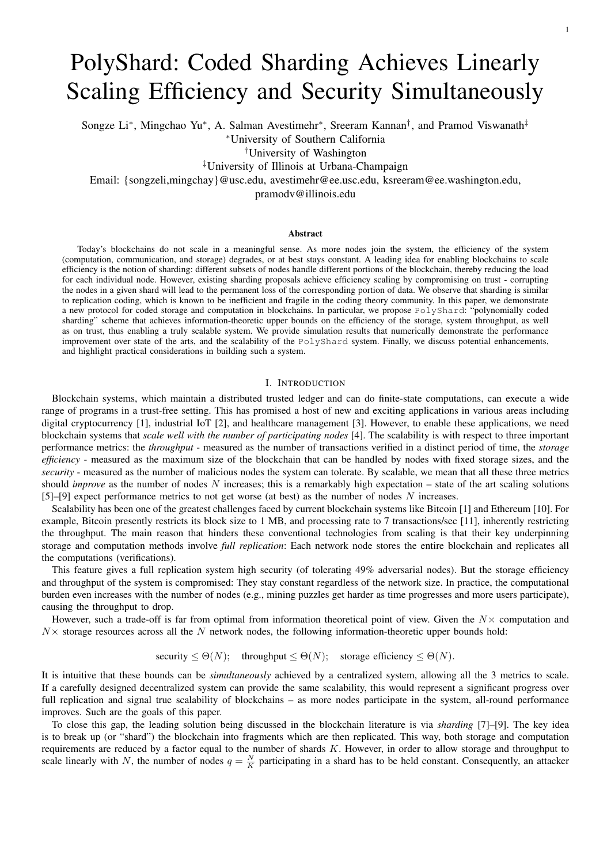# PolyShard: Coded Sharding Achieves Linearly Scaling Efficiency and Security Simultaneously

Songze Li<sup>∗</sup>, Mingchao Yu<sup>∗</sup>, A. Salman Avestimehr<sup>∗</sup>, Sreeram Kannan<sup>†</sup>, and Pramod Viswanath<sup>‡</sup>

<sup>∗</sup>University of Southern California

†University of Washington

‡University of Illinois at Urbana-Champaign

Email: {songzeli,mingchay}@usc.edu, avestimehr@ee.usc.edu, ksreeram@ee.washington.edu,

pramodv@illinois.edu

## **Abstract**

Today's blockchains do not scale in a meaningful sense. As more nodes join the system, the efficiency of the system (computation, communication, and storage) degrades, or at best stays constant. A leading idea for enabling blockchains to scale efficiency is the notion of sharding: different subsets of nodes handle different portions of the blockchain, thereby reducing the load for each individual node. However, existing sharding proposals achieve efficiency scaling by compromising on trust - corrupting the nodes in a given shard will lead to the permanent loss of the corresponding portion of data. We observe that sharding is similar to replication coding, which is known to be inefficient and fragile in the coding theory community. In this paper, we demonstrate a new protocol for coded storage and computation in blockchains. In particular, we propose PolyShard: "polynomially coded sharding" scheme that achieves information-theoretic upper bounds on the efficiency of the storage, system throughput, as well as on trust, thus enabling a truly scalable system. We provide simulation results that numerically demonstrate the performance improvement over state of the arts, and the scalability of the PolyShard system. Finally, we discuss potential enhancements, and highlight practical considerations in building such a system.

## I. INTRODUCTION

Blockchain systems, which maintain a distributed trusted ledger and can do finite-state computations, can execute a wide range of programs in a trust-free setting. This has promised a host of new and exciting applications in various areas including digital cryptocurrency [1], industrial IoT [2], and healthcare management [3]. However, to enable these applications, we need blockchain systems that *scale well with the number of participating nodes* [4]. The scalability is with respect to three important performance metrics: the *throughput* - measured as the number of transactions verified in a distinct period of time, the *storage efficiency* - measured as the maximum size of the blockchain that can be handled by nodes with fixed storage sizes, and the *security* - measured as the number of malicious nodes the system can tolerate. By scalable, we mean that all these three metrics should *improve* as the number of nodes N increases; this is a remarkably high expectation – state of the art scaling solutions [5]–[9] expect performance metrics to not get worse (at best) as the number of nodes N increases.

Scalability has been one of the greatest challenges faced by current blockchain systems like Bitcoin [1] and Ethereum [10]. For example, Bitcoin presently restricts its block size to 1 MB, and processing rate to 7 transactions/sec [11], inherently restricting the throughput. The main reason that hinders these conventional technologies from scaling is that their key underpinning storage and computation methods involve *full replication*: Each network node stores the entire blockchain and replicates all the computations (verifications).

This feature gives a full replication system high security (of tolerating 49% adversarial nodes). But the storage efficiency and throughput of the system is compromised: They stay constant regardless of the network size. In practice, the computational burden even increases with the number of nodes (e.g., mining puzzles get harder as time progresses and more users participate), causing the throughput to drop.

However, such a trade-off is far from optimal from information theoretical point of view. Given the  $N\times$  computation and  $N\times$  storage resources across all the N network nodes, the following information-theoretic upper bounds hold:

security 
$$
\leq \Theta(N)
$$
; throughout  $\leq \Theta(N)$ ; storage efficiency  $\leq \Theta(N)$ .

It is intuitive that these bounds can be *simultaneously* achieved by a centralized system, allowing all the 3 metrics to scale. If a carefully designed decentralized system can provide the same scalability, this would represent a significant progress over full replication and signal true scalability of blockchains – as more nodes participate in the system, all-round performance improves. Such are the goals of this paper.

To close this gap, the leading solution being discussed in the blockchain literature is via *sharding* [7]–[9]. The key idea is to break up (or "shard") the blockchain into fragments which are then replicated. This way, both storage and computation requirements are reduced by a factor equal to the number of shards  $K$ . However, in order to allow storage and throughput to scale linearly with N, the number of nodes  $q = \frac{N}{K}$  participating in a shard has to be held constant. Consequently, an attacker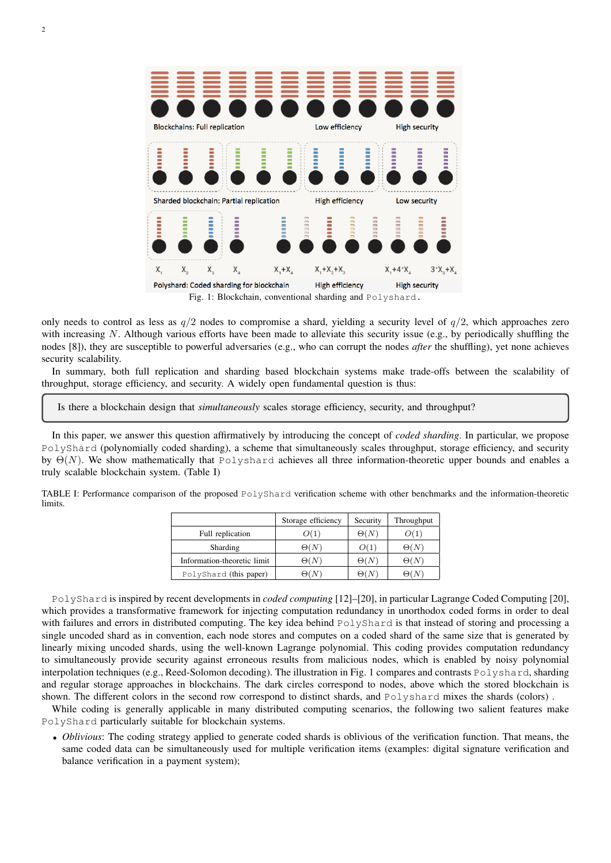

Fig. 1: Blockchain, conventional sharding and Polyshard.

only needs to control as less as  $q/2$  nodes to compromise a shard, yielding a security level of  $q/2$ , which approaches zero with increasing N. Although various efforts have been made to alleviate this security issue (e.g., by periodically shuffling the nodes [8]), they are susceptible to powerful adversaries (e.g., who can corrupt the nodes *after* the shuffling), yet none achieves security scalability.

In summary, both full replication and sharding based blockchain systems make trade-offs between the scalability of throughput, storage efficiency, and security. A widely open fundamental question is thus:

Is there a blockchain design that *simultaneously* scales storage efficiency, security, and throughput?

In this paper, we answer this question affirmatively by introducing the concept of *coded sharding*. In particular, we propose PolyShard (polynomially coded sharding), a scheme that simultaneously scales throughput, storage efficiency, and security by  $\Theta(N)$ . We show mathematically that Polyshard achieves all three information-theoretic upper bounds and enables a truly scalable blockchain system. (Table I)

| TABLE I: Performance comparison of the proposed PolyShard verification scheme with other benchmarks and the information-theoretic<br>limits. |  |  |  |  |
|----------------------------------------------------------------------------------------------------------------------------------------------|--|--|--|--|
|                                                                                                                                              |  |  |  |  |

|                             | Storage efficiency | Security            | Throughput |
|-----------------------------|--------------------|---------------------|------------|
| Full replication            |                    | $\Theta(N)$         |            |
| <b>Sharding</b>             | A ( N              | (2(1))              |            |
| Information-theoretic limit | $\Theta(N)$        | $\Theta(N)$         |            |
| PolyShard (this paper)      |                    | $\Theta$ ( $\Delta$ |            |

PolyShard is inspired by recent developments in *coded computing* [12]–[20], in particular Lagrange Coded Computing [20], which provides a transformative framework for injecting computation redundancy in unorthodox coded forms in order to deal with failures and errors in distributed computing. The key idea behind PolyShard is that instead of storing and processing a single uncoded shard as in convention, each node stores and computes on a coded shard of the same size that is generated by linearly mixing uncoded shards, using the well-known Lagrange polynomial. This coding provides computation redundancy to simultaneously provide security against erroneous results from malicious nodes, which is enabled by noisy polynomial interpolation techniques (e.g., Reed-Solomon decoding). The illustration in Fig. 1 compares and contrasts Polyshard, sharding and regular storage approaches in blockchains. The dark circles correspond to nodes, above which the stored blockchain is shown. The different colors in the second row correspond to distinct shards, and Polyshard mixes the shards (colors) .

While coding is generally applicable in many distributed computing scenarios, the following two salient features make PolyShard particularly suitable for blockchain systems.

• *Oblivious*: The coding strategy applied to generate coded shards is oblivious of the verification function. That means, the same coded data can be simultaneously used for multiple verification items (examples: digital signature verification and balance verification in a payment system);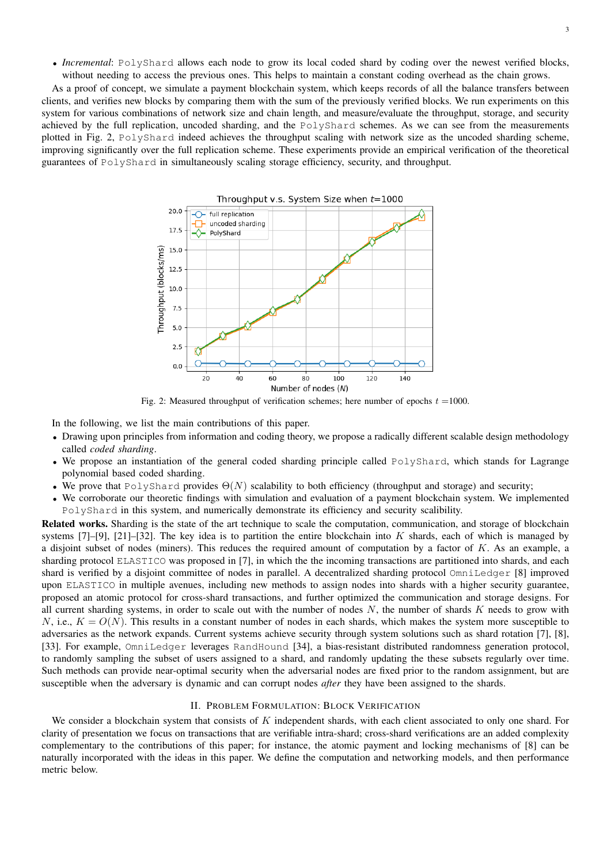• *Incremental*: PolyShard allows each node to grow its local coded shard by coding over the newest verified blocks, without needing to access the previous ones. This helps to maintain a constant coding overhead as the chain grows.

As a proof of concept, we simulate a payment blockchain system, which keeps records of all the balance transfers between clients, and verifies new blocks by comparing them with the sum of the previously verified blocks. We run experiments on this system for various combinations of network size and chain length, and measure/evaluate the throughput, storage, and security achieved by the full replication, uncoded sharding, and the PolyShard schemes. As we can see from the measurements plotted in Fig. 2, PolyShard indeed achieves the throughput scaling with network size as the uncoded sharding scheme, improving significantly over the full replication scheme. These experiments provide an empirical verification of the theoretical guarantees of PolyShard in simultaneously scaling storage efficiency, security, and throughput.



Fig. 2: Measured throughput of verification schemes; here number of epochs  $t = 1000$ .

In the following, we list the main contributions of this paper.

- Drawing upon principles from information and coding theory, we propose a radically different scalable design methodology called *coded sharding*.
- We propose an instantiation of the general coded sharding principle called PolyShard, which stands for Lagrange polynomial based coded sharding.
- We prove that PolyShard provides  $\Theta(N)$  scalability to both efficiency (throughput and storage) and security;
- We corroborate our theoretic findings with simulation and evaluation of a payment blockchain system. We implemented PolyShard in this system, and numerically demonstrate its efficiency and security scalibility.

Related works. Sharding is the state of the art technique to scale the computation, communication, and storage of blockchain systems  $[7]-[9]$ ,  $[21]-[32]$ . The key idea is to partition the entire blockchain into K shards, each of which is managed by a disjoint subset of nodes (miners). This reduces the required amount of computation by a factor of  $K$ . As an example, a sharding protocol ELASTICO was proposed in [7], in which the the incoming transactions are partitioned into shards, and each shard is verified by a disjoint committee of nodes in parallel. A decentralized sharding protocol OmniLedger [8] improved upon ELASTICO in multiple avenues, including new methods to assign nodes into shards with a higher security guarantee, proposed an atomic protocol for cross-shard transactions, and further optimized the communication and storage designs. For all current sharding systems, in order to scale out with the number of nodes  $N$ , the number of shards  $K$  needs to grow with N, i.e.,  $K = O(N)$ . This results in a constant number of nodes in each shards, which makes the system more susceptible to adversaries as the network expands. Current systems achieve security through system solutions such as shard rotation [7], [8], [33]. For example, OmniLedger leverages RandHound [34], a bias-resistant distributed randomness generation protocol, to randomly sampling the subset of users assigned to a shard, and randomly updating the these subsets regularly over time. Such methods can provide near-optimal security when the adversarial nodes are fixed prior to the random assignment, but are susceptible when the adversary is dynamic and can corrupt nodes *after* they have been assigned to the shards.

# II. PROBLEM FORMULATION: BLOCK VERIFICATION

We consider a blockchain system that consists of  $K$  independent shards, with each client associated to only one shard. For clarity of presentation we focus on transactions that are verifiable intra-shard; cross-shard verifications are an added complexity complementary to the contributions of this paper; for instance, the atomic payment and locking mechanisms of [8] can be naturally incorporated with the ideas in this paper. We define the computation and networking models, and then performance metric below.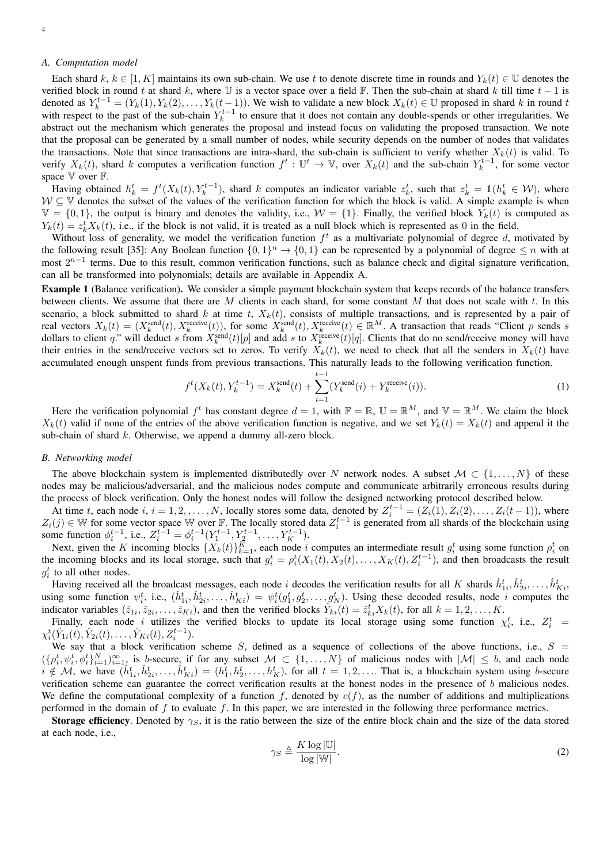# *A. Computation model*

Each shard k,  $k \in [1, K]$  maintains its own sub-chain. We use t to denote discrete time in rounds and  $Y_k(t) \in \mathbb{U}$  denotes the verified block in round t at shard k, where U is a vector space over a field F. Then the sub-chain at shard k till time  $t - 1$  is denoted as  $Y_k^{t-1} = (Y_k(1), Y_k(2), \ldots, Y_k(t-1))$ . We wish to validate a new block  $X_k(t) \in \mathbb{U}$  proposed in shard k in round t with respect to the past of the sub-chain  $Y_k^{t-1}$  to ensure that it does not contain any double-spends or other irregularities. We abstract out the mechanism which generates the proposal and instead focus on validating the proposed transaction. We note that the proposal can be generated by a small number of nodes, while security depends on the number of nodes that validates the transactions. Note that since transactions are intra-shard, the sub-chain is sufficient to verify whether  $X_k(t)$  is valid. To verify  $X_k(t)$ , shard k computes a verification function  $f^t: \mathbb{U}^t \to \mathbb{V}$ , over  $X_k(t)$  and the sub-chain  $Y_k^{t-1}$ , for some vector space V over F.

Having obtained  $h_k^t = f^t(X_k(t), Y_k^{t-1})$ , shard k computes an indicator variable  $z_k^t$ , such that  $z_k^t = \mathbb{1}(h_k^t \in \mathcal{W})$ , where  $W \subseteq V$  denotes the subset of the values of the verification function for which the block is valid. A simple example is when  $V = \{0, 1\}$ , the output is binary and denotes the validity, i.e.,  $W = \{1\}$ . Finally, the verified block  $Y_k(t)$  is computed as  $Y_k(t) = z_k^t X_k(t)$ , i.e., if the block is not valid, it is treated as a null block which is represented as 0 in the field.

Without loss of generality, we model the verification function  $f<sup>t</sup>$  as a multivariate polynomial of degree  $d$ , motivated by the following result [35]: Any Boolean function  $\{0,1\}^n \to \{0,1\}$  can be represented by a polynomial of degree  $\leq n$  with at most  $2^{n-1}$  terms. Due to this result, common verification functions, such as balance check and digital signature verification, can all be transformed into polynomials; details are available in Appendix A.

Example 1 (Balance verification). We consider a simple payment blockchain system that keeps records of the balance transfers between clients. We assume that there are M clients in each shard, for some constant M that does not scale with t. In this scenario, a block submitted to shard k at time t,  $X_k(t)$ , consists of multiple transactions, and is represented by a pair of real vectors  $X_k(t) = (X_k^{\text{send}}(t), X_k^{\text{receive}}(t))$ , for some  $X_k^{\text{send}}(t), X_k^{\text{receive}}(t) \in \mathbb{R}^M$ . A transaction that reads "Client p sends s dollars to client q." will deduct s from  $X_k^{\text{send}}(t)[p]$  and add s to  $X_k^{\text{receive}}(t)[q]$ . Clients that do no send/receive money will have their entries in the send/receive vectors set to zeros. To verify  $X_k(t)$ , we need to check that all the senders in  $X_k(t)$  have accumulated enough unspent funds from previous transactions. This naturally leads to the following verification function.

$$
f^{t}(X_{k}(t), Y_{k}^{t-1}) = X_{k}^{\text{send}}(t) + \sum_{i=1}^{t-1} (Y_{k}^{\text{send}}(i) + Y_{k}^{\text{receive}}(i)).
$$
\n(1)

Here the verification polynomial  $f^t$  has constant degree  $d = 1$ , with  $\mathbb{F} = \mathbb{R}$ ,  $\mathbb{U} = \mathbb{R}^M$ , and  $\mathbb{V} = \mathbb{R}^M$ . We claim the block  $X_k(t)$  valid if none of the entries of the above verification function is negative, and we set  $Y_k(t) = X_k(t)$  and append it the sub-chain of shard  $k$ . Otherwise, we append a dummy all-zero block.

## *B. Networking model*

The above blockchain system is implemented distributedly over N network nodes. A subset  $M \subset \{1, \ldots, N\}$  of these nodes may be malicious/adversarial, and the malicious nodes compute and communicate arbitrarily erroneous results during the process of block verification. Only the honest nodes will follow the designed networking protocol described below.

At time t, each node i,  $i = 1, 2, ..., N$ , locally stores some data, denoted by  $Z_i^{t-1} = (Z_i(1), Z_i(2), ..., Z_i(t-1))$ , where  $Z_i(j) \in \mathbb{W}$  for some vector space W over F. The locally stored data  $Z_i^{t-1}$  is generated from all shards of the blockchain using some function  $\phi_i^{t-1}$ , i.e.,  $Z_i^{t-1} = \phi_i^{t-1}(Y_1^{t-1}, Y_2^{t-1}, \dots, Y_K^{t-1})$ .

Next, given the K incoming blocks  $\{X_k(t)\}_{k=1}^K$ , each node i computes an intermediate result  $g_i^t$  using some function  $\rho_i^t$  on the incoming blocks and its local storage, such that  $g_i^t = \rho_i^t(X_1(t), X_2(t), \dots, X_K(t), Z_i^{t-1})$ , and then broadcasts the result  $g_i^t$  to all other nodes.

Having received all the broadcast messages, each node i decodes the verification results for all K shards  $\hat{h}_{1i}^t, \hat{h}_{2i}^t, \ldots, \hat{h}_{Ki}^t$ using some function  $\psi_i^t$ , i.e.,  $(\hat{h}_{1i}^t, \hat{h}_{2i}^t, \ldots, \hat{h}_{Ki}^t) = \psi_i^t(g_1^t, g_2^t, \ldots, g_N^t)$ . Using these decoded results, node i computes the indicator variables  $(\hat{z}_{1i}, \hat{z}_{2i}, \dots, \hat{z}_{Ki})$ , and then the verified blocks  $\hat{Y}_{ki}(t) = \hat{z}_{ki}^{\dagger} X_k(t)$ , for all  $k = 1, 2, \dots, K$ .

Finally, each node i utilizes the verified blocks to update its local storage using some function  $\chi_i^t$ , i.e.,  $Z_i^t$  =  $\chi_i^t(\hat{Y}_{1i}(t), \hat{Y}_{2i}(t), \ldots, \hat{Y}_{Ki}(t), Z_i^{t-1}).$ 

We say that a block verification scheme S, defined as a sequence of collections of the above functions, i.e.,  $S =$  $(\{\rho_i^t, \psi_i^t, \phi_i^t\}_{i=1}^N)_{i=1}^\infty$  is b-secure, if for any subset  $\mathcal{M} \subset \{1, \dots, N\}$  of malicious nodes with  $|\mathcal{M}| \leq b$ , and each node  $i \notin \mathcal{M}$ , we have  $(\hat{h}_{1i}^t, \hat{h}_{2i}^t, \ldots, \hat{h}_{Ki}^t) = (h_1^t, h_2^t, \ldots, h_K^t)$ , for all  $t = 1, 2, \ldots$  That is, a blockchain system using b-secure verification scheme can guarantee the correct verification results at the honest nodes in the presence of b malicious nodes. We define the computational complexity of a function f, denoted by  $c(f)$ , as the number of additions and multiplications performed in the domain of  $f$  to evaluate  $f$ . In this paper, we are interested in the following three performance metrics.

**Storage efficiency**. Denoted by  $\gamma_S$ , it is the ratio between the size of the entire block chain and the size of the data stored at each node, i.e.,

$$
\gamma_S \triangleq \frac{K \log |\mathbb{U}|}{\log |\mathbb{W}|}. \tag{2}
$$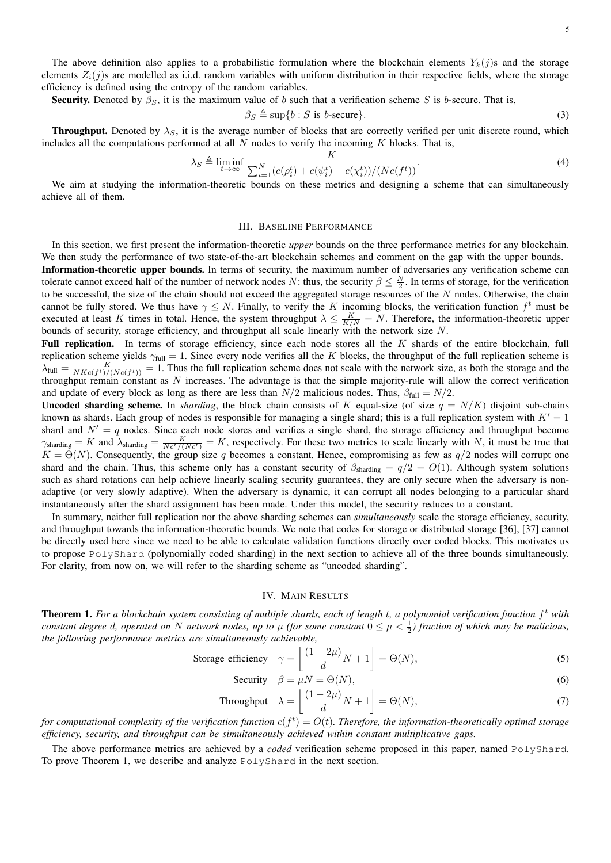The above definition also applies to a probabilistic formulation where the blockchain elements  $Y_k(j)$ s and the storage elements  $Z_i(j)$ s are modelled as i.i.d. random variables with uniform distribution in their respective fields, where the storage efficiency is defined using the entropy of the random variables.

**Security.** Denoted by  $\beta_S$ , it is the maximum value of b such that a verification scheme S is b-secure. That is,

$$
\beta_S \triangleq \sup \{ b : S \text{ is } b\text{-secure} \}. \tag{3}
$$

**Throughput.** Denoted by  $\lambda_S$ , it is the average number of blocks that are correctly verified per unit discrete round, which includes all the computations performed at all  $N$  nodes to verify the incoming  $K$  blocks. That is,

$$
\lambda_S \triangleq \liminf_{t \to \infty} \frac{K}{\sum_{i=1}^N (c(\rho_i^t) + c(\psi_i^t) + c(\chi_i^t))/(Nc(f^t))}.
$$
\n(4)

We aim at studying the information-theoretic bounds on these metrics and designing a scheme that can simultaneously achieve all of them.

#### III. BASELINE PERFORMANCE

In this section, we first present the information-theoretic *upper* bounds on the three performance metrics for any blockchain. We then study the performance of two state-of-the-art blockchain schemes and comment on the gap with the upper bounds.

Information-theoretic upper bounds. In terms of security, the maximum number of adversaries any verification scheme can tolerate cannot exceed half of the number of network nodes N: thus, the security  $\beta \leq \frac{N}{2}$ . In terms of storage, for the verification to be successful, the size of the chain should not exceed the aggregated storage resources of the  $N$  nodes. Otherwise, the chain cannot be fully stored. We thus have  $\gamma \le N$ . Finally, to verify the K incoming blocks, the verification function  $f^t$  must be executed at least K times in total. Hence, the system throughput  $\lambda \leq \frac{K}{K/N} = N$ . Therefore, the information-theoretic upper bounds of security, storage efficiency, and throughput all scale linearly with the network size  $N$ .

Full replication. In terms of storage efficiency, since each node stores all the K shards of the entire blockchain, full replication scheme yields  $\gamma_{\text{full}} = 1$ . Since every node verifies all the K blocks, the throughput of the full replication scheme is  $\lambda_{\text{full}} = \frac{K}{N K c (f^t) / (N c (f^t))} = 1$ . Thus the full replication scheme does not scale with the network size, as both the storage and the throughput remain constant as N increases. The advantage is that the simple majority-rule will allow the correct verification and update of every block as long as there are less than  $N/2$  malicious nodes. Thus,  $\beta_{\text{full}} = N/2$ .

**Uncoded sharding scheme.** In *sharding*, the block chain consists of K equal-size (of size  $q = N/K$ ) disjoint sub-chains known as shards. Each group of nodes is responsible for managing a single shard; this is a full replication system with  $K' = 1$ shard and  $N' = q$  nodes. Since each node stores and verifies a single shard, the storage efficiency and throughput become  $\gamma_{\text{sharding}} = K$  and  $\lambda_{\text{sharding}} = \frac{K}{Nc^t/(Nc^t)} = K$ , respectively. For these two metrics to scale linearly with N, it must be true that  $K = \Theta(N)$ . Consequently, the group size q becomes a constant. Hence, compromising as few as  $q/2$  nodes will corrupt one shard and the chain. Thus, this scheme only has a constant security of  $\beta_{\text{sharding}} = q/2 = O(1)$ . Although system solutions such as shard rotations can help achieve linearly scaling security guarantees, they are only secure when the adversary is nonadaptive (or very slowly adaptive). When the adversary is dynamic, it can corrupt all nodes belonging to a particular shard instantaneously after the shard assignment has been made. Under this model, the security reduces to a constant.

In summary, neither full replication nor the above sharding schemes can *simultaneously* scale the storage efficiency, security, and throughput towards the information-theoretic bounds. We note that codes for storage or distributed storage [36], [37] cannot be directly used here since we need to be able to calculate validation functions directly over coded blocks. This motivates us to propose PolyShard (polynomially coded sharding) in the next section to achieve all of the three bounds simultaneously. For clarity, from now on, we will refer to the sharding scheme as "uncoded sharding".

#### IV. MAIN RESULTS

**Theorem 1.** For a blockchain system consisting of multiple shards, each of length t, a polynomial verification function  $f^t$  with *constant degree d, operated on* N *network nodes, up to*  $\mu$  (for some constant  $0 \leq \mu < \frac{1}{2}$ ) fraction of which may be malicious, *the following performance metrics are simultaneously achievable,*

Storage efficiency 
$$
\gamma = \left[ \frac{(1 - 2\mu)}{d} N + 1 \right] = \Theta(N)
$$
, (5)

Security 
$$
\beta = \mu N = \Theta(N)
$$
, (6)

Throughout 
$$
\lambda = \left[ \frac{(1 - 2\mu)}{d} N + 1 \right] = \Theta(N),
$$
 (7)

for computational complexity of the verification function  $c(f^t) = O(t)$ . Therefore, the information-theoretically optimal storage *efficiency, security, and throughput can be simultaneously achieved within constant multiplicative gaps.*

The above performance metrics are achieved by a *coded* verification scheme proposed in this paper, named PolyShard. To prove Theorem 1, we describe and analyze PolyShard in the next section.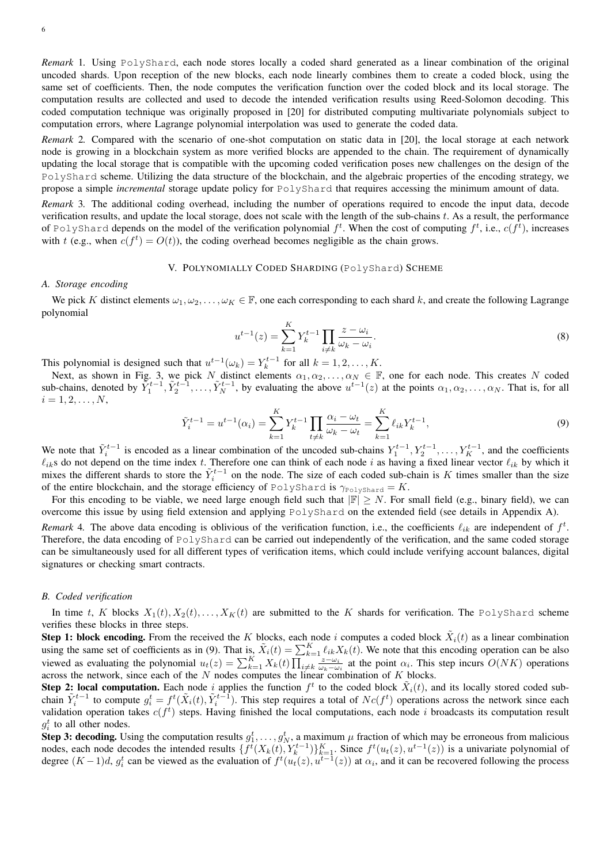*Remark* 1. Using PolyShard, each node stores locally a coded shard generated as a linear combination of the original uncoded shards. Upon reception of the new blocks, each node linearly combines them to create a coded block, using the same set of coefficients. Then, the node computes the verification function over the coded block and its local storage. The computation results are collected and used to decode the intended verification results using Reed-Solomon decoding. This coded computation technique was originally proposed in [20] for distributed computing multivariate polynomials subject to computation errors, where Lagrange polynomial interpolation was used to generate the coded data.

*Remark* 2*.* Compared with the scenario of one-shot computation on static data in [20], the local storage at each network node is growing in a blockchain system as more verified blocks are appended to the chain. The requirement of dynamically updating the local storage that is compatible with the upcoming coded verification poses new challenges on the design of the PolyShard scheme. Utilizing the data structure of the blockchain, and the algebraic properties of the encoding strategy, we propose a simple *incremental* storage update policy for PolyShard that requires accessing the minimum amount of data.

*Remark* 3*.* The additional coding overhead, including the number of operations required to encode the input data, decode verification results, and update the local storage, does not scale with the length of the sub-chains  $t$ . As a result, the performance of PolyShard depends on the model of the verification polynomial  $f^t$ . When the cost of computing  $f^t$ , i.e.,  $c(f^t)$ , increases with t (e.g., when  $c(f^t) = O(t)$ ), the coding overhead becomes negligible as the chain grows.

# V. POLYNOMIALLY CODED SHARDING (PolyShard) SCHEME

# *A. Storage encoding*

We pick K distinct elements  $\omega_1, \omega_2, \ldots, \omega_K \in \mathbb{F}$ , one each corresponding to each shard k, and create the following Lagrange polynomial

$$
u^{t-1}(z) = \sum_{k=1}^{K} Y_k^{t-1} \prod_{i \neq k} \frac{z - \omega_i}{\omega_k - \omega_i}.
$$
 (8)

This polynomial is designed such that  $u^{t-1}(\omega_k) = Y_k^{t-1}$  for all  $k = 1, 2, ..., K$ .

Next, as shown in Fig. 3, we pick N distinct elements  $\alpha_1, \alpha_2, \ldots, \alpha_N \in \mathbb{F}$ , one for each node. This creates N coded sub-chains, denoted by  $\tilde{Y}_1^{t-1}, \tilde{Y}_2^{t-1}, \ldots, \tilde{Y}_N^{t-1}$ , by evaluating the above  $u^{t-1}(z)$  at the points  $\alpha_1, \alpha_2, \ldots, \alpha_N$ . That is, for all  $i = 1, 2, \ldots, N$ ,

$$
\tilde{Y}_i^{t-1} = u^{t-1}(\alpha_i) = \sum_{k=1}^K Y_k^{t-1} \prod_{t \neq k} \frac{\alpha_i - \omega_t}{\omega_k - \omega_t} = \sum_{k=1}^K \ell_{ik} Y_k^{t-1},\tag{9}
$$

We note that  $\tilde{Y}_i^{t-1}$  is encoded as a linear combination of the uncoded sub-chains  $Y_1^{t-1}, Y_2^{t-1}, \ldots, Y_K^{t-1}$ , and the coefficients  $\ell_{ik}$ s do not depend on the time index t. Therefore one can think of each node i as having a fixed linear vector  $\ell_{ik}$  by which it mixes the different shards to store the  $\tilde{Y}_i^{t-1}$  on the node. The size of each coded sub-chain is K times smaller than the size of the entire blockchain, and the storage efficiency of PolyShard is  $\gamma_{\text{PolyShard}} = K$ .

For this encoding to be viable, we need large enough field such that  $|\mathbb{F}| \geq N$ . For small field (e.g., binary field), we can overcome this issue by using field extension and applying PolyShard on the extended field (see details in Appendix A).

*Remark* 4. The above data encoding is oblivious of the verification function, i.e., the coefficients  $\ell_{ik}$  are independent of  $f^t$ . Therefore, the data encoding of PolyShard can be carried out independently of the verification, and the same coded storage can be simultaneously used for all different types of verification items, which could include verifying account balances, digital signatures or checking smart contracts.

#### *B. Coded verification*

In time t, K blocks  $X_1(t), X_2(t), \ldots, X_K(t)$  are submitted to the K shards for verification. The PolyShard scheme verifies these blocks in three steps.

**Step 1: block encoding.** From the received the K blocks, each node i computes a coded block  $\tilde{X}_i(t)$  as a linear combination using the same set of coefficients as in (9). That is,  $\tilde{X}_i(t) = \sum_{k=1}^K \ell_{ik} X_k(t)$ . We note that this encoding operation can be also viewed as evaluating the polynomial  $u_t(z) = \sum_{k=1}^K X_k(t) \prod_{i \neq k} \frac{z - \omega_i}{\omega_k - \omega_i}$  at the point  $\alpha_i$ . This step incurs  $O(NK)$  operations across the network, since each of the  $N$  nodes computes the linear combination of  $K$  blocks.

Step 2: local computation. Each node i applies the function  $f^t$  to the coded block  $\tilde{X}_i(t)$ , and its locally stored coded subchain  $\tilde{Y}_i^{t-1}$  to compute  $g_i^t = f^t(\tilde{X}_i(t), \tilde{Y}_i^{t-1})$ . This step requires a total of  $Nc(f^t)$  operations across the network since each validation operation takes  $c(f^t)$  steps. Having finished the local computations, each node i broadcasts its computation result  $g_i^t$  to all other nodes.

 $g_i$  to an other house.<br>Step 3: decoding. Using the computation results  $g_1^t, \ldots, g_N^t$ , a maximum  $\mu$  fraction of which may be erroneous from malicious nodes, each node decodes the intended results  $\{f^t(X_k(t), Y_k^{t-1})\}_{k=1}^K$ . Since  $f^t(u_t(z), u^{t-1}(z))$  is a univariate polynomial of degree  $(K-1)d$ ,  $g_i^t$  can be viewed as the evaluation of  $f^t(u_t(z), u^{t-1}(z))$  at  $\alpha_i$ , and it can be recovered following the process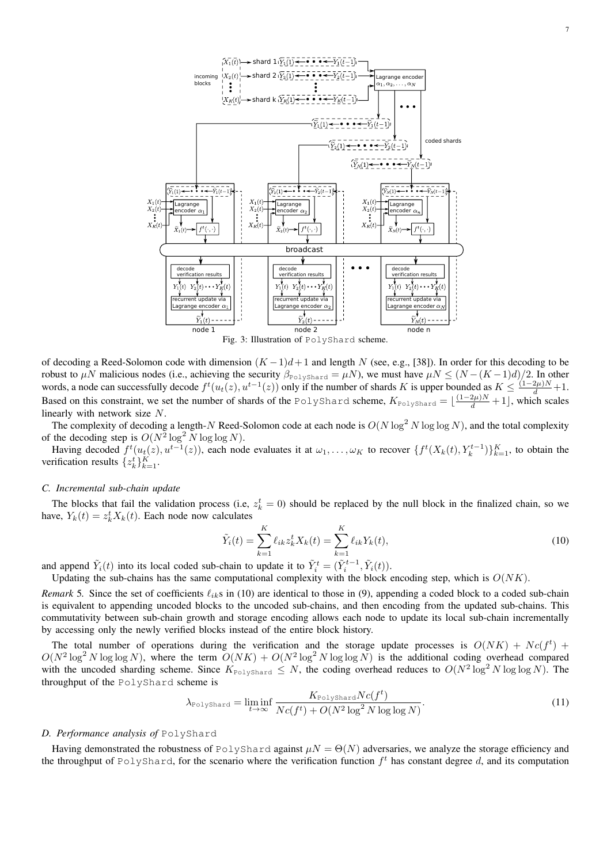

of decoding a Reed-Solomon code with dimension  $(K-1)d+1$  and length N (see, e.g., [38]). In order for this decoding to be robust to  $\mu N$  malicious nodes (i.e., achieving the security  $\beta_{\text{PolyShard}} = \mu N$ ), we must have  $\mu N \le (N - (K - 1)d)/2$ . In other words, a node can successfully decode  $f^t(u_t(z), u^{t-1}(z))$  only if the number of shards K is upper bounded as  $K \leq \frac{(1-2\mu)N}{d} + 1$ . Based on this constraint, we set the number of shards of the PolyShard scheme,  $K_{\text{PolyShard}} = \lfloor \frac{(1-2\mu)N}{d} + 1 \rfloor$ , which scales linearly with network size N.

The complexity of decoding a length-N Reed-Solomon code at each node is  $O(N \log^2 N \log \log N)$ , and the total complexity of the decoding step is  $O(N^2 \log^2 N \log \log N)$ .

Having decoded  $f^t(u_t(z), u^{t-1}(z))$ , each node evaluates it at  $\omega_1, \ldots, \omega_K$  to recover  $\{f^t(X_k(t), Y_k^{t-1})\}_{k=1}^K$ , to obtain the verification results  $\{z_k^t\}_{k=1}^K$ .

# *C. Incremental sub-chain update*

The blocks that fail the validation process (i.e,  $z_k^t = 0$ ) should be replaced by the null block in the finalized chain, so we have,  $Y_k(t) = z_k^t X_k(t)$ . Each node now calculates

$$
\tilde{Y}_i(t) = \sum_{k=1}^K \ell_{ik} z_k^t X_k(t) = \sum_{k=1}^K \ell_{ik} Y_k(t),\tag{10}
$$

and append  $\tilde{Y}_i(t)$  into its local coded sub-chain to update it to  $\tilde{Y}_i^t = (\tilde{Y}_i^{t-1}, \tilde{Y}_i(t))$ .

Updating the sub-chains has the same computational complexity with the block encoding step, which is  $O(NK)$ .

*Remark* 5. Since the set of coefficients  $\ell_{ik}$ s in (10) are identical to those in (9), appending a coded block to a coded sub-chain is equivalent to appending uncoded blocks to the uncoded sub-chains, and then encoding from the updated sub-chains. This commutativity between sub-chain growth and storage encoding allows each node to update its local sub-chain incrementally by accessing only the newly verified blocks instead of the entire block history.

The total number of operations during the verification and the storage update processes is  $O(NK) + N c(f^t)$  +  $O(N^2 \log^2 N \log \log N)$ , where the term  $O(NK) + O(N^2 \log^2 N \log \log N)$  is the additional coding overhead compared with the uncoded sharding scheme. Since  $K_{\text{PolyShard}} \leq N$ , the coding overhead reduces to  $O(N^2 \log^2 N \log \log N)$ . The throughput of the PolyShard scheme is

$$
\lambda_{\text{Polyshared}} = \liminf_{t \to \infty} \frac{K_{\text{PolyShard}} N c(f^t)}{N c(f^t) + O(N^2 \log^2 N \log \log N)}.
$$
\n(11)

# *D. Performance analysis of* PolyShard

Having demonstrated the robustness of PolyShard against  $\mu N = \Theta(N)$  adversaries, we analyze the storage efficiency and the throughput of PolyShard, for the scenario where the verification function  $f^t$  has constant degree d, and its computation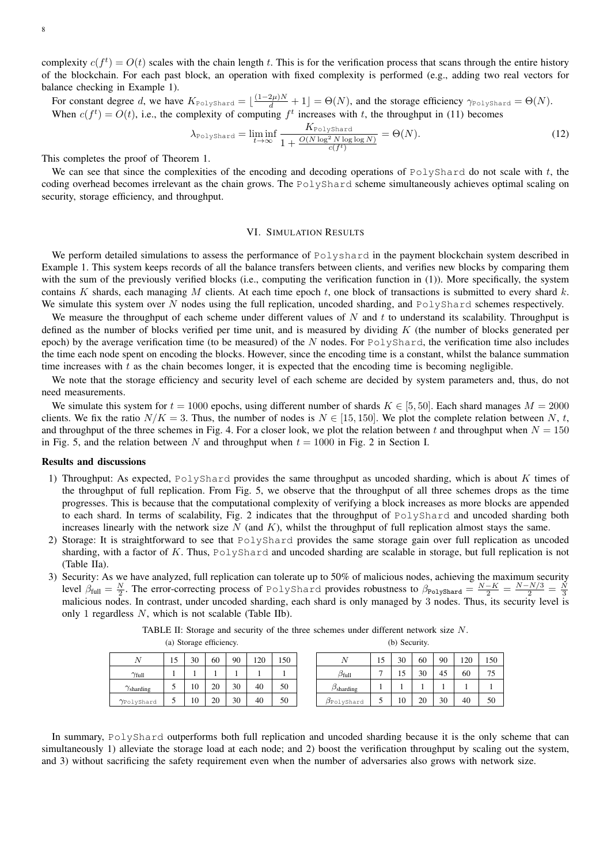8

complexity  $c(f^t) = O(t)$  scales with the chain length t. This is for the verification process that scans through the entire history of the blockchain. For each past block, an operation with fixed complexity is performed (e.g., adding two real vectors for balance checking in Example 1).

For constant degree d, we have  $K_{\text{PolyShard}} = \lfloor \frac{(1-2\mu)N}{d} + 1 \rfloor = \Theta(N)$ , and the storage efficiency  $\gamma_{\text{PolyShard}} = \Theta(N)$ . When  $c(f^t) = O(t)$ , i.e., the complexity of computing  $f^t$  increases with t, the throughput in (11) becomes

$$
\lambda_{\text{PolyShard}} = \liminf_{t \to \infty} \frac{K_{\text{PolyShard}}}{1 + \frac{O(N \log^2 N \log \log N)}{c(f^t)}} = \Theta(N). \tag{12}
$$

This completes the proof of Theorem 1.

We can see that since the complexities of the encoding and decoding operations of PolyShard do not scale with t, the coding overhead becomes irrelevant as the chain grows. The PolyShard scheme simultaneously achieves optimal scaling on security, storage efficiency, and throughput.

# VI. SIMULATION RESULTS

We perform detailed simulations to assess the performance of Polyshard in the payment blockchain system described in Example 1. This system keeps records of all the balance transfers between clients, and verifies new blocks by comparing them with the sum of the previously verified blocks (i.e., computing the verification function in (1)). More specifically, the system contains K shards, each managing M clients. At each time epoch  $t$ , one block of transactions is submitted to every shard  $k$ . We simulate this system over N nodes using the full replication, uncoded sharding, and PolyShard schemes respectively.

We measure the throughput of each scheme under different values of  $N$  and  $t$  to understand its scalability. Throughput is defined as the number of blocks verified per time unit, and is measured by dividing  $K$  (the number of blocks generated per epoch) by the average verification time (to be measured) of the  $N$  nodes. For  $PolyStart$ , the verification time also includes the time each node spent on encoding the blocks. However, since the encoding time is a constant, whilst the balance summation time increases with  $t$  as the chain becomes longer, it is expected that the encoding time is becoming negligible.

We note that the storage efficiency and security level of each scheme are decided by system parameters and, thus, do not need measurements.

We simulate this system for  $t = 1000$  epochs, using different number of shards  $K \in [5, 50]$ . Each shard manages  $M = 2000$ clients. We fix the ratio  $N/K = 3$ . Thus, the number of nodes is  $N \in [15, 150]$ . We plot the complete relation between N, t, and throughput of the three schemes in Fig. 4. For a closer look, we plot the relation between t and throughput when  $N = 150$ in Fig. 5, and the relation between N and throughput when  $t = 1000$  in Fig. 2 in Section I.

#### Results and discussions

- 1) Throughput: As expected,  $PolyStart$  provides the same throughput as uncoded sharding, which is about  $K$  times of the throughput of full replication. From Fig. 5, we observe that the throughput of all three schemes drops as the time progresses. This is because that the computational complexity of verifying a block increases as more blocks are appended to each shard. In terms of scalability, Fig. 2 indicates that the throughput of PolyShard and uncoded sharding both increases linearly with the network size  $N$  (and  $K$ ), whilst the throughput of full replication almost stays the same.
- 2) Storage: It is straightforward to see that PolyShard provides the same storage gain over full replication as uncoded sharding, with a factor of K. Thus, PolyShard and uncoded sharding are scalable in storage, but full replication is not (Table IIa).
- 3) Security: As we have analyzed, full replication can tolerate up to 50% of malicious nodes, achieving the maximum security level  $\beta_{\text{full}} = \frac{N}{2}$ . The error-correcting process of PolyShard provides robustness to  $\beta_{\text{PolyShard}} = \frac{N - K}{2} = \frac{N - N/3}{2} = \frac{N}{3}$ <br>malicious nodes. In contrast, under uncoded sharding, each shard is only managed by 3 n only 1 regardless  $N$ , which is not scalable (Table IIb).

|                          | 30 | 60 | 90 | 120 | 150 |                           |
|--------------------------|----|----|----|-----|-----|---------------------------|
| $\gamma_{\text{full}}$   |    |    |    |     |     | $\beta_{\rm full}$        |
| $\gamma$ sharding        | 10 | 20 | 30 | 40  | 50  | $\beta_{\text{sharding}}$ |
| $\gamma_{\tt PolyShard}$ | 10 | 20 | 30 | 40  | 50  | $\beta_{\tt PolyShard}$   |

(a) Storage efficiency.

TABLE II: Storage and security of the three schemes under different network size N.

| N                         | 15 | 30 | 60 | 90 | 120 | 150 |
|---------------------------|----|----|----|----|-----|-----|
| $\beta_{\text{full}}$     |    | 15 | 30 | 45 | 60  | 75  |
| $\beta_{\text{sharding}}$ |    |    |    |    |     |     |
| $\beta_{\rm PolyShard}$   |    | 10 | 20 | 30 | 40  | 50  |

(b) Security.

In summary, PolyShard outperforms both full replication and uncoded sharding because it is the only scheme that can simultaneously 1) alleviate the storage load at each node; and 2) boost the verification throughput by scaling out the system, and 3) without sacrificing the safety requirement even when the number of adversaries also grows with network size.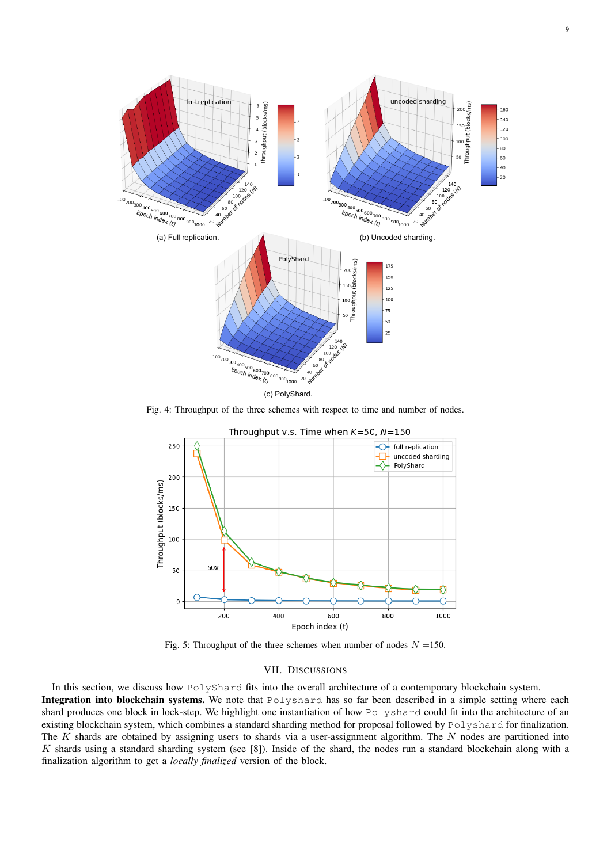

Fig. 4: Throughput of the three schemes with respect to time and number of nodes.



Fig. 5: Throughput of the three schemes when number of nodes  $N = 150$ .

# VII. DISCUSSIONS

In this section, we discuss how PolyShard fits into the overall architecture of a contemporary blockchain system. Integration into blockchain systems. We note that Polyshard has so far been described in a simple setting where each shard produces one block in lock-step. We highlight one instantiation of how Polyshard could fit into the architecture of an existing blockchain system, which combines a standard sharding method for proposal followed by Polyshard for finalization. The K shards are obtained by assigning users to shards via a user-assignment algorithm. The  $N$  nodes are partitioned into K shards using a standard sharding system (see [8]). Inside of the shard, the nodes run a standard blockchain along with a finalization algorithm to get a *locally finalized* version of the block.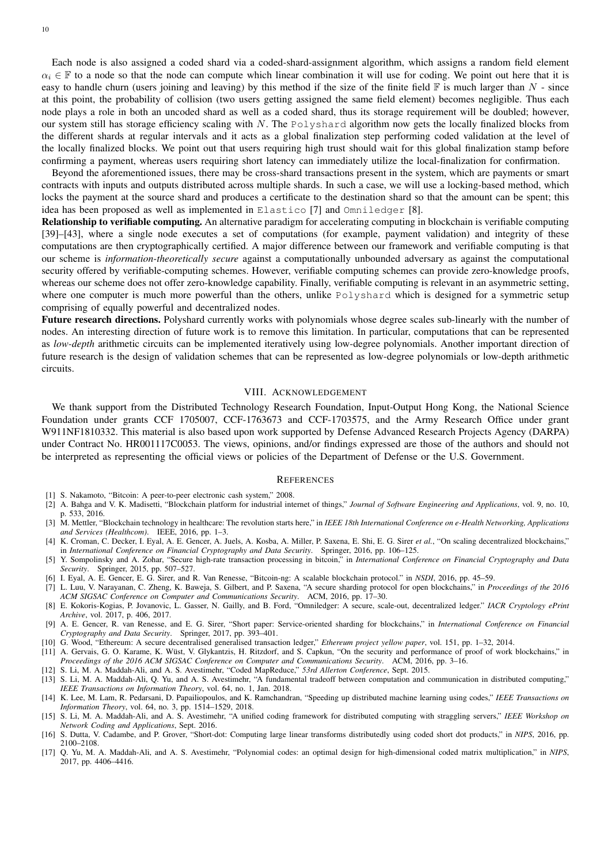Each node is also assigned a coded shard via a coded-shard-assignment algorithm, which assigns a random field element  $\alpha_i \in \mathbb{F}$  to a node so that the node can compute which linear combination it will use for coding. We point out here that it is easy to handle churn (users joining and leaving) by this method if the size of the finite field  $\mathbb F$  is much larger than  $N$  - since at this point, the probability of collision (two users getting assigned the same field element) becomes negligible. Thus each node plays a role in both an uncoded shard as well as a coded shard, thus its storage requirement will be doubled; however, our system still has storage efficiency scaling with N. The Polyshard algorithm now gets the locally finalized blocks from the different shards at regular intervals and it acts as a global finalization step performing coded validation at the level of the locally finalized blocks. We point out that users requiring high trust should wait for this global finalization stamp before confirming a payment, whereas users requiring short latency can immediately utilize the local-finalization for confirmation.

Beyond the aforementioned issues, there may be cross-shard transactions present in the system, which are payments or smart contracts with inputs and outputs distributed across multiple shards. In such a case, we will use a locking-based method, which locks the payment at the source shard and produces a certificate to the destination shard so that the amount can be spent; this idea has been proposed as well as implemented in Elastico [7] and Omniledger [8].

Relationship to verifiable computing. An alternative paradigm for accelerating computing in blockchain is verifiable computing [39]–[43], where a single node executes a set of computations (for example, payment validation) and integrity of these computations are then cryptographically certified. A major difference between our framework and verifiable computing is that our scheme is *information-theoretically secure* against a computationally unbounded adversary as against the computational security offered by verifiable-computing schemes. However, verifiable computing schemes can provide zero-knowledge proofs, whereas our scheme does not offer zero-knowledge capability. Finally, verifiable computing is relevant in an asymmetric setting, where one computer is much more powerful than the others, unlike Polyshard which is designed for a symmetric setup comprising of equally powerful and decentralized nodes.

Future research directions. Polyshard currently works with polynomials whose degree scales sub-linearly with the number of nodes. An interesting direction of future work is to remove this limitation. In particular, computations that can be represented as *low-depth* arithmetic circuits can be implemented iteratively using low-degree polynomials. Another important direction of future research is the design of validation schemes that can be represented as low-degree polynomials or low-depth arithmetic circuits.

## VIII. ACKNOWLEDGEMENT

We thank support from the Distributed Technology Research Foundation, Input-Output Hong Kong, the National Science Foundation under grants CCF 1705007, CCF-1763673 and CCF-1703575, and the Army Research Office under grant W911NF1810332. This material is also based upon work supported by Defense Advanced Research Projects Agency (DARPA) under Contract No. HR001117C0053. The views, opinions, and/or findings expressed are those of the authors and should not be interpreted as representing the official views or policies of the Department of Defense or the U.S. Government.

## **REFERENCES**

- [1] S. Nakamoto, "Bitcoin: A peer-to-peer electronic cash system," 2008.
- [2] A. Bahga and V. K. Madisetti, "Blockchain platform for industrial internet of things," *Journal of Software Engineering and Applications*, vol. 9, no. 10, p. 533, 2016.
- [3] M. Mettler, "Blockchain technology in healthcare: The revolution starts here," in *IEEE 18th International Conference on e-Health Networking, Applications and Services (Healthcom)*. IEEE, 2016, pp. 1–3.
- [4] K. Croman, C. Decker, I. Eyal, A. E. Gencer, A. Juels, A. Kosba, A. Miller, P. Saxena, E. Shi, E. G. Sirer *et al.*, "On scaling decentralized blockchains," in *International Conference on Financial Cryptography and Data Security*. Springer, 2016, pp. 106–125.
- [5] Y. Sompolinsky and A. Zohar, "Secure high-rate transaction processing in bitcoin," in *International Conference on Financial Cryptography and Data Security*. Springer, 2015, pp. 507–527.
- [6] I. Eyal, A. E. Gencer, E. G. Sirer, and R. Van Renesse, "Bitcoin-ng: A scalable blockchain protocol." in *NSDI*, 2016, pp. 45–59.
- [7] L. Luu, V. Narayanan, C. Zheng, K. Baweja, S. Gilbert, and P. Saxena, "A secure sharding protocol for open blockchains," in *Proceedings of the 2016 ACM SIGSAC Conference on Computer and Communications Security*. ACM, 2016, pp. 17–30.
- [8] E. Kokoris-Kogias, P. Jovanovic, L. Gasser, N. Gailly, and B. Ford, "Omniledger: A secure, scale-out, decentralized ledger." *IACR Cryptology ePrint Archive*, vol. 2017, p. 406, 2017.
- [9] A. E. Gencer, R. van Renesse, and E. G. Sirer, "Short paper: Service-oriented sharding for blockchains," in *International Conference on Financial Cryptography and Data Security*. Springer, 2017, pp. 393–401.
- [10] G. Wood, "Ethereum: A secure decentralised generalised transaction ledger," *Ethereum project yellow paper*, vol. 151, pp. 1–32, 2014.
- [11] A. Gervais, G. O. Karame, K. Wüst, V. Glykantzis, H. Ritzdorf, and S. Capkun, "On the security and performance of proof of work blockchains," in *Proceedings of the 2016 ACM SIGSAC Conference on Computer and Communications Security*. ACM, 2016, pp. 3–16.
- [12] S. Li, M. A. Maddah-Ali, and A. S. Avestimehr, "Coded MapReduce," *53rd Allerton Conference*, Sept. 2015.
- [13] S. Li, M. A. Maddah-Ali, Q. Yu, and A. S. Avestimehr, "A fundamental tradeoff between computation and communication in distributed computing," *IEEE Transactions on Information Theory*, vol. 64, no. 1, Jan. 2018.
- [14] K. Lee, M. Lam, R. Pedarsani, D. Papailiopoulos, and K. Ramchandran, "Speeding up distributed machine learning using codes," *IEEE Transactions on Information Theory*, vol. 64, no. 3, pp. 1514–1529, 2018.
- [15] S. Li, M. A. Maddah-Ali, and A. S. Avestimehr, "A unified coding framework for distributed computing with straggling servers," *IEEE Workshop on Network Coding and Applications*, Sept. 2016.
- [16] S. Dutta, V. Cadambe, and P. Grover, "Short-dot: Computing large linear transforms distributedly using coded short dot products," in *NIPS*, 2016, pp. 2100–2108.
- [17] Q. Yu, M. A. Maddah-Ali, and A. S. Avestimehr, "Polynomial codes: an optimal design for high-dimensional coded matrix multiplication," in *NIPS*, 2017, pp. 4406–4416.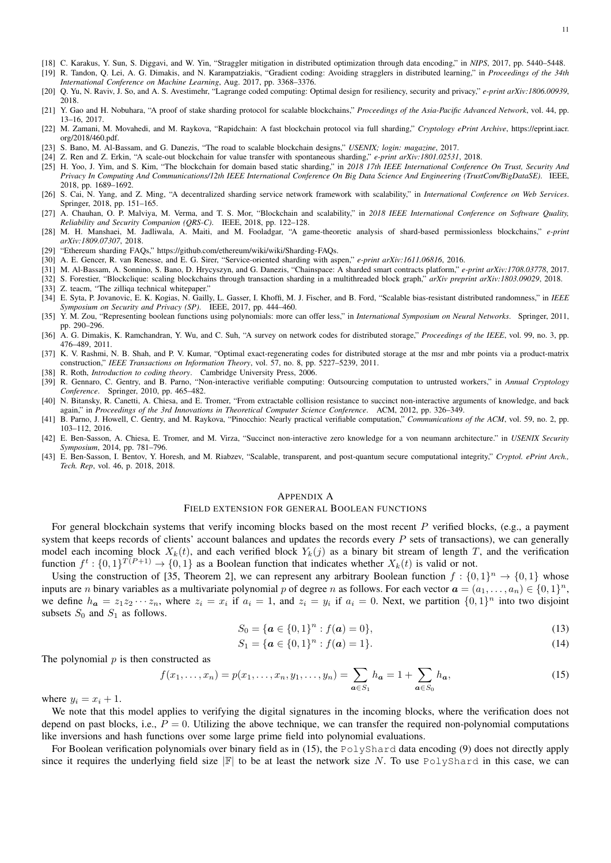- [18] C. Karakus, Y. Sun, S. Diggavi, and W. Yin, "Straggler mitigation in distributed optimization through data encoding," in *NIPS*, 2017, pp. 5440–5448.
- [19] R. Tandon, Q. Lei, A. G. Dimakis, and N. Karampatziakis, "Gradient coding: Avoiding stragglers in distributed learning," in *Proceedings of the 34th International Conference on Machine Learning*, Aug. 2017, pp. 3368–3376.
- [20] Q. Yu, N. Raviv, J. So, and A. S. Avestimehr, "Lagrange coded computing: Optimal design for resiliency, security and privacy," *e-print arXiv:1806.00939*, 2018.
- [21] Y. Gao and H. Nobuhara, "A proof of stake sharding protocol for scalable blockchains," *Proceedings of the Asia-Pacific Advanced Network*, vol. 44, pp. 13–16, 2017.
- [22] M. Zamani, M. Movahedi, and M. Raykova, "Rapidchain: A fast blockchain protocol via full sharding," *Cryptology ePrint Archive*, https://eprint.iacr. org/2018/460.pdf.
- [23] S. Bano, M. Al-Bassam, and G. Danezis, "The road to scalable blockchain designs," *USENIX; login: magazine*, 2017.
- [24] Z. Ren and Z. Erkin, "A scale-out blockchain for value transfer with spontaneous sharding," *e-print arXiv:1801.02531*, 2018.
- [25] H. Yoo, J. Yim, and S. Kim, "The blockchain for domain based static sharding," in *2018 17th IEEE International Conference On Trust, Security And Privacy In Computing And Communications/12th IEEE International Conference On Big Data Science And Engineering (TrustCom/BigDataSE)*. IEEE, 2018, pp. 1689–1692.
- [26] S. Cai, N. Yang, and Z. Ming, "A decentralized sharding service network framework with scalability," in *International Conference on Web Services*. Springer, 2018, pp. 151–165.
- [27] A. Chauhan, O. P. Malviya, M. Verma, and T. S. Mor, "Blockchain and scalability," in *2018 IEEE International Conference on Software Quality, Reliability and Security Companion (QRS-C)*. IEEE, 2018, pp. 122–128.
- [28] M. H. Manshaei, M. Jadliwala, A. Maiti, and M. Fooladgar, "A game-theoretic analysis of shard-based permissionless blockchains," *e-print arXiv:1809.07307*, 2018.
- [29] "Ethereum sharding FAQs," https://github.com/ethereum/wiki/wiki/Sharding-FAQs.
- [30] A. E. Gencer, R. van Renesse, and E. G. Sirer, "Service-oriented sharding with aspen," *e-print arXiv:1611.06816*, 2016.
- [31] M. Al-Bassam, A. Sonnino, S. Bano, D. Hrycyszyn, and G. Danezis, "Chainspace: A sharded smart contracts platform," *e-print arXiv:1708.03778*, 2017.
- [32] S. Forestier, "Blockclique: scaling blockchains through transaction sharding in a multithreaded block graph," *arXiv preprint arXiv:1803.09029*, 2018.
- [33] Z. teacm. "The zilliga technical whitepaper."
- [34] E. Syta, P. Jovanovic, E. K. Kogias, N. Gailly, L. Gasser, I. Khoffi, M. J. Fischer, and B. Ford, "Scalable bias-resistant distributed randomness," in *IEEE Symposium on Security and Privacy (SP)*. IEEE, 2017, pp. 444–460.
- [35] Y. M. Zou, "Representing boolean functions using polynomials: more can offer less," in *International Symposium on Neural Networks*. Springer, 2011, pp. 290–296.
- [36] A. G. Dimakis, K. Ramchandran, Y. Wu, and C. Suh, "A survey on network codes for distributed storage," *Proceedings of the IEEE*, vol. 99, no. 3, pp. 476–489, 2011.
- [37] K. V. Rashmi, N. B. Shah, and P. V. Kumar, "Optimal exact-regenerating codes for distributed storage at the msr and mbr points via a product-matrix construction," *IEEE Transactions on Information Theory*, vol. 57, no. 8, pp. 5227–5239, 2011.
- [38] R. Roth, *Introduction to coding theory*. Cambridge University Press, 2006.
- [39] R. Gennaro, C. Gentry, and B. Parno, "Non-interactive verifiable computing: Outsourcing computation to untrusted workers," in *Annual Cryptology Conference*. Springer, 2010, pp. 465–482.
- [40] N. Bitansky, R. Canetti, A. Chiesa, and E. Tromer, "From extractable collision resistance to succinct non-interactive arguments of knowledge, and back again," in *Proceedings of the 3rd Innovations in Theoretical Computer Science Conference*. ACM, 2012, pp. 326–349.
- [41] B. Parno, J. Howell, C. Gentry, and M. Raykova, "Pinocchio: Nearly practical verifiable computation," *Communications of the ACM*, vol. 59, no. 2, pp. 103–112, 2016.
- [42] E. Ben-Sasson, A. Chiesa, E. Tromer, and M. Virza, "Succinct non-interactive zero knowledge for a von neumann architecture." in *USENIX Security Symposium*, 2014, pp. 781–796.
- [43] E. Ben-Sasson, I. Bentov, Y. Horesh, and M. Riabzev, "Scalable, transparent, and post-quantum secure computational integrity," *Cryptol. ePrint Arch., Tech. Rep*, vol. 46, p. 2018, 2018.

#### APPENDIX A

## FIELD EXTENSION FOR GENERAL BOOLEAN FUNCTIONS

For general blockchain systems that verify incoming blocks based on the most recent  $P$  verified blocks, (e.g., a payment system that keeps records of clients' account balances and updates the records every  $P$  sets of transactions), we can generally model each incoming block  $X_k(t)$ , and each verified block  $Y_k(j)$  as a binary bit stream of length T, and the verification function  $f^t: \{0,1\}^{T(P+1)} \to \{0,1\}$  as a Boolean function that indicates whether  $X_k(t)$  is valid or not.

Using the construction of [35, Theorem 2], we can represent any arbitrary Boolean function  $f: \{0,1\}^n \to \{0,1\}$  whose inputs are *n* binary variables as a multivariate polynomial p of degree n as follows. For each vector  $a = (a_1, \ldots, a_n) \in \{0, 1\}^n$ , we define  $h_a = z_1 z_2 \cdots z_n$ , where  $z_i = x_i$  if  $a_i = 1$ , and  $z_i = y_i$  if  $a_i = 0$ . Next, we partition  $\{0,1\}^n$  into two disjoint subsets  $S_0$  and  $S_1$  as follows.

$$
S_0 = \{ \mathbf{a} \in \{0,1\}^n : f(\mathbf{a}) = 0 \},\tag{13}
$$

$$
S_1 = \{ \mathbf{a} \in \{0,1\}^n : f(\mathbf{a}) = 1 \}. \tag{14}
$$

The polynomial  $p$  is then constructed as

$$
f(x_1, \ldots, x_n) = p(x_1, \ldots, x_n, y_1, \ldots, y_n) = \sum_{\mathbf{a} \in S_1} h_{\mathbf{a}} = 1 + \sum_{\mathbf{a} \in S_0} h_{\mathbf{a}},
$$
(15)

where  $y_i = x_i + 1$ .

We note that this model applies to verifying the digital signatures in the incoming blocks, where the verification does not depend on past blocks, i.e.,  $P = 0$ . Utilizing the above technique, we can transfer the required non-polynomial computations like inversions and hash functions over some large prime field into polynomial evaluations.

For Boolean verification polynomials over binary field as in (15), the PolyShard data encoding (9) does not directly apply since it requires the underlying field size  $\mathbb{F}$  to be at least the network size N. To use PolyShard in this case, we can